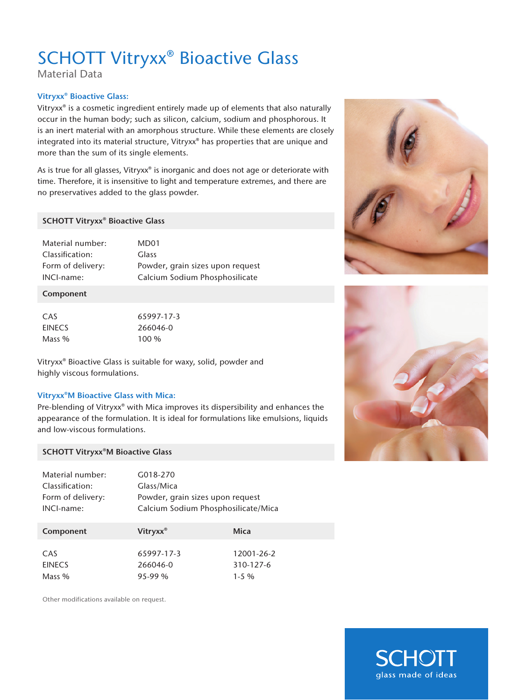# SCHOTT Vitryxx® Bioactive Glass

Material Data

## Vitryxx® Bioactive Glass:

Vitryxx® is a cosmetic ingredient entirely made up of elements that also naturally occur in the human body; such as silicon, calcium, sodium and phosphorous. It is an inert material with an amorphous structure. While these elements are closely integrated into its material structure, Vitryxx® has properties that are unique and more than the sum of its single elements.

As is true for all glasses, Vitryxx<sup>®</sup> is inorganic and does not age or deteriorate with time. Therefore, it is insensitive to light and temperature extremes, and there are no preservatives added to the glass powder.

### SCHOTT Vitryxx® Bioactive Glass

Material number: MD01 Classification: Glass

Form of delivery: Powder, grain sizes upon request INCI-name: Calcium Sodium Phosphosilicate

## Component

CAS 65997-17-3 EINECS 266046-0 Mass % 100 %

Vitryxx® Bioactive Glass is suitable for waxy, solid, powder and highly viscous formulations.

## Vitryxx®M Bioactive Glass with Mica:

Pre-blending of Vitryxx® with Mica improves its dispersibility and enhances the appearance of the formulation. It is ideal for formulations like emulsions, liquids and low-viscous formulations.

## SCHOTT Vitryxx®M Bioactive Glass

| Material number:  | G018-270                            |            |
|-------------------|-------------------------------------|------------|
| Classification:   | Glass/Mica                          |            |
| Form of delivery: | Powder, grain sizes upon request    |            |
| INCI-name:        | Calcium Sodium Phosphosilicate/Mica |            |
| Component         | Vitryx $x^{\circ}$                  | Mica       |
| CAS               | 65997-17-3                          | 12001-26-2 |
| <b>EINECS</b>     | 266046-0                            | 310-127-6  |
| Mass %            | 95-99 %                             | $1 - 5\%$  |

Other modifications available on request.